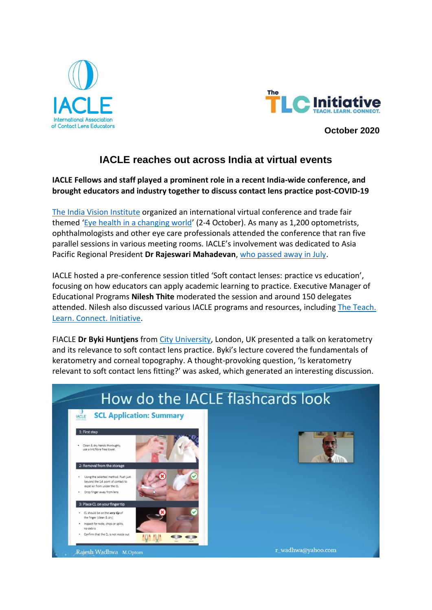



**October 2020**

## **IACLE reaches out across India at virtual events**

**IACLE Fellows and staff played a prominent role in a recent India-wide conference, and brought educators and industry together to discuss contact lens practice post-COVID-19**

[The India Vision Institute](https://www.indiavisioninstitute.org/) organized an international virtual conference and trade fair themed '[Eye health in a changing world](https://ivieyehealth.com/)' (2-4 October). As many as 1,200 optometrists, ophthalmologists and other eye care professionals attended the conference that ran five parallel sessions in various meeting rooms. IACLE's involvement was dedicated to Asia Pacific Regional President **Dr Rajeswari Mahadevan**[, who passed away in July.](https://iacle.org/iacle-special-notice-july-2020/)

IACLE hosted a pre-conference session titled 'Soft contact lenses: practice vs education', focusing on how educators can apply academic learning to practice. Executive Manager of Educational Programs **Nilesh Thite** moderated the session and around 150 delegates attended. Nilesh also discussed various IACLE programs and resources, including The Teach. [Learn. Connect. Initiative.](https://iacle.org/the-tlc-teach-learn-connect-initiative/)

FIACLE **Dr Byki Huntjens** from [City University,](https://www.city.ac.uk/) London, UK presented a talk on keratometry and its relevance to soft contact lens practice. Byki's lecture covered the fundamentals of keratometry and corneal topography. A thought-provoking question, 'Is keratometry relevant to soft contact lens fitting?' was asked, which generated an interesting discussion.